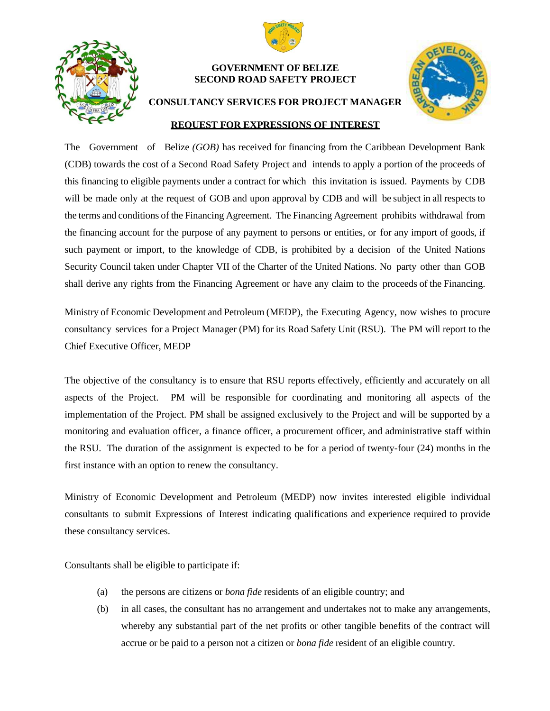



## **GOVERNMENT OF BELIZE SECOND ROAD SAFETY PROJECT**



## **CONSULTANCY SERVICES FOR PROJECT MANAGER REQUEST FOR EXPRESSIONS OF INTEREST**

The Government of Belize *(GOB)* has received for financing from the Caribbean Development Bank (CDB) towards the cost of a Second Road Safety Project and intends to apply a portion of the proceeds of this financing to eligible payments under a contract for which this invitation is issued. Payments by CDB will be made only at the request of GOB and upon approval by CDB and will be subject in all respects to the terms and conditions of the Financing Agreement. The Financing Agreement prohibits withdrawal from the financing account for the purpose of any payment to persons or entities, or for any import of goods, if such payment or import, to the knowledge of CDB, is prohibited by a decision of the United Nations Security Council taken under Chapter VII of the Charter of the United Nations. No party other than GOB shall derive any rights from the Financing Agreement or have any claim to the proceeds of the Financing.

Ministry of Economic Development and Petroleum (MEDP), the Executing Agency, now wishes to procure consultancy services for a Project Manager (PM) for its Road Safety Unit (RSU). The PM will report to the Chief Executive Officer, MEDP

The objective of the consultancy is to ensure that RSU reports effectively, efficiently and accurately on all aspects of the Project. PM will be responsible for coordinating and monitoring all aspects of the implementation of the Project. PM shall be assigned exclusively to the Project and will be supported by a monitoring and evaluation officer, a finance officer, a procurement officer, and administrative staff within the RSU. The duration of the assignment is expected to be for a period of twenty-four (24) months in the first instance with an option to renew the consultancy.

Ministry of Economic Development and Petroleum (MEDP) now invites interested eligible individual consultants to submit Expressions of Interest indicating qualifications and experience required to provide these consultancy services.

Consultants shall be eligible to participate if:

- (a) the persons are citizens or *bona fide* residents of an eligible country; and
- (b) in all cases, the consultant has no arrangement and undertakes not to make any arrangements, whereby any substantial part of the net profits or other tangible benefits of the contract will accrue or be paid to a person not a citizen or *bona fide* resident of an eligible country.